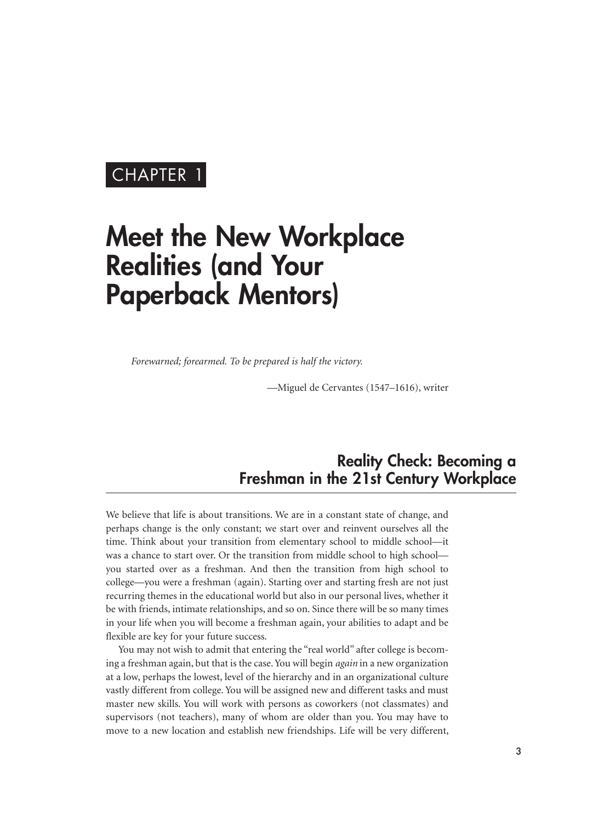# CHAPTER 1

# **Meet the New Workplace Realities (and Your Paperback Mentors)**

 *Forewarned; forearmed. To be prepared is half the victory.* 

—Miguel de Cervantes (1547–1616), writer

## **Reality Check: Becoming a Freshman in the 21st Century Workplace**

 We believe that life is about transitions. We are in a constant state of change, and perhaps change is the only constant; we start over and reinvent ourselves all the time. Think about your transition from elementary school to middle school—it was a chance to start over. Or the transition from middle school to high school you started over as a freshman. And then the transition from high school to college—you were a freshman (again). Starting over and starting fresh are not just recurring themes in the educational world but also in our personal lives, whether it be with friends, intimate relationships, and so on. Since there will be so many times in your life when you will become a freshman again, your abilities to adapt and be flexible are key for your future success.

You may not wish to admit that entering the "real world" after college is becoming a freshman again, but that is the case. You will begin *again* in a new organization at a low, perhaps the lowest, level of the hierarchy and in an organizational culture vastly different from college. You will be assigned new and different tasks and must master new skills. You will work with persons as coworkers (not classmates) and supervisors (not teachers), many of whom are older than you. You may have to move to a new location and establish new friendships. Life will be very different,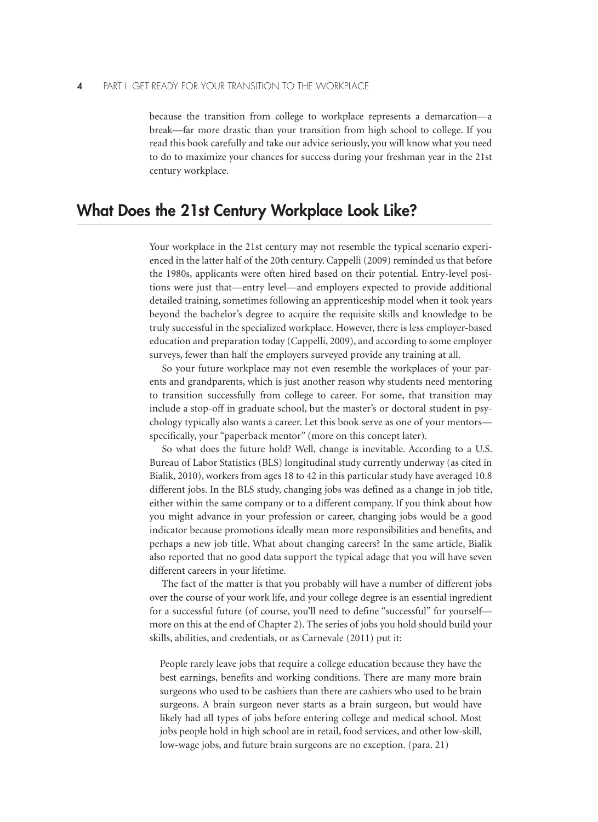because the transition from college to workplace represents a demarcation—a break—far more drastic than your transition from high school to college. If you read this book carefully and take our advice seriously, you will know what you need to do to maximize your chances for success during your freshman year in the 21st century workplace.

#### **What Does the 21st Century Workplace Look Like?**

 Your workplace in the 21st century may not resemble the typical scenario experienced in the latter half of the 20th century. Cappelli (2009) reminded us that before the 1980s, applicants were often hired based on their potential. Entry-level positions were just that—entry level—and employers expected to provide additional detailed training, sometimes following an apprenticeship model when it took years beyond the bachelor's degree to acquire the requisite skills and knowledge to be truly successful in the specialized workplace. However, there is less employer-based education and preparation today (Cappelli, 2009), and according to some employer surveys, fewer than half the employers surveyed provide any training at all.

 So your future workplace may not even resemble the workplaces of your parents and grandparents, which is just another reason why students need mentoring to transition successfully from college to career. For some, that transition may include a stop-off in graduate school, but the master's or doctoral student in psychology typically also wants a career. Let this book serve as one of your mentors specifically, your "paperback mentor" (more on this concept later).

 So what does the future hold? Well, change is inevitable. According to a U.S. Bureau of Labor Statistics (BLS) longitudinal study currently underway (as cited in Bialik, 2010), workers from ages 18 to 42 in this particular study have averaged 10.8 different jobs. In the BLS study, changing jobs was defined as a change in job title, either within the same company or to a different company. If you think about how you might advance in your profession or career, changing jobs would be a good indicator because promotions ideally mean more responsibilities and benefits, and perhaps a new job title. What about changing careers? In the same article, Bialik also reported that no good data support the typical adage that you will have seven different careers in your lifetime.

 The fact of the matter is that you probably will have a number of different jobs over the course of your work life, and your college degree is an essential ingredient for a successful future (of course, you'll need to define "successful" for yourself more on this at the end of Chapter 2). The series of jobs you hold should build your skills, abilities, and credentials, or as Carnevale (2011) put it:

 People rarely leave jobs that require a college education because they have the best earnings, benefits and working conditions. There are many more brain surgeons who used to be cashiers than there are cashiers who used to be brain surgeons. A brain surgeon never starts as a brain surgeon, but would have likely had all types of jobs before entering college and medical school. Most jobs people hold in high school are in retail, food services, and other low-skill, low-wage jobs, and future brain surgeons are no exception. (para. 21)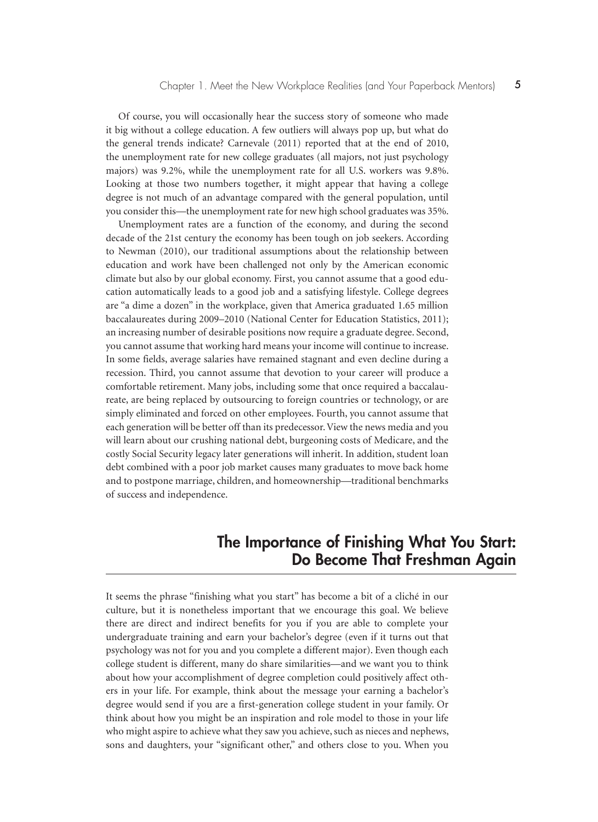Of course, you will occasionally hear the success story of someone who made it big without a college education. A few outliers will always pop up, but what do the general trends indicate? Carnevale (2011) reported that at the end of 2010, the unemployment rate for new college graduates (all majors, not just psychology majors) was 9.2%, while the unemployment rate for all U.S. workers was 9.8%. Looking at those two numbers together, it might appear that having a college degree is not much of an advantage compared with the general population, until you consider this—the unemployment rate for new high school graduates was 35%.

 Unemployment rates are a function of the economy, and during the second decade of the 21st century the economy has been tough on job seekers. According to Newman (2010), our traditional assumptions about the relationship between education and work have been challenged not only by the American economic climate but also by our global economy. First, you cannot assume that a good education automatically leads to a good job and a satisfying lifestyle. College degrees are "a dime a dozen" in the workplace, given that America graduated 1.65 million baccalaureates during 2009–2010 (National Center for Education Statistics, 2011); an increasing number of desirable positions now require a graduate degree. Second, you cannot assume that working hard means your income will continue to increase. In some fields, average salaries have remained stagnant and even decline during a recession. Third, you cannot assume that devotion to your career will produce a comfortable retirement. Many jobs, including some that once required a baccalaureate, are being replaced by outsourcing to foreign countries or technology, or are simply eliminated and forced on other employees. Fourth, you cannot assume that each generation will be better off than its predecessor. View the news media and you will learn about our crushing national debt, burgeoning costs of Medicare, and the costly Social Security legacy later generations will inherit. In addition, student loan debt combined with a poor job market causes many graduates to move back home and to postpone marriage, children, and homeownership—traditional benchmarks of success and independence.

#### **The Importance of Finishing What You Start: Do Become That Freshman Again**

 It seems the phrase "finishing what you start" has become a bit of a cliché in our culture, but it is nonetheless important that we encourage this goal. We believe there are direct and indirect benefits for you if you are able to complete your undergraduate training and earn your bachelor's degree (even if it turns out that psychology was not for you and you complete a different major). Even though each college student is different, many do share similarities—and we want you to think about how your accomplishment of degree completion could positively affect others in your life. For example, think about the message your earning a bachelor's degree would send if you are a first-generation college student in your family. Or think about how you might be an inspiration and role model to those in your life who might aspire to achieve what they saw you achieve, such as nieces and nephews, sons and daughters, your "significant other," and others close to you. When you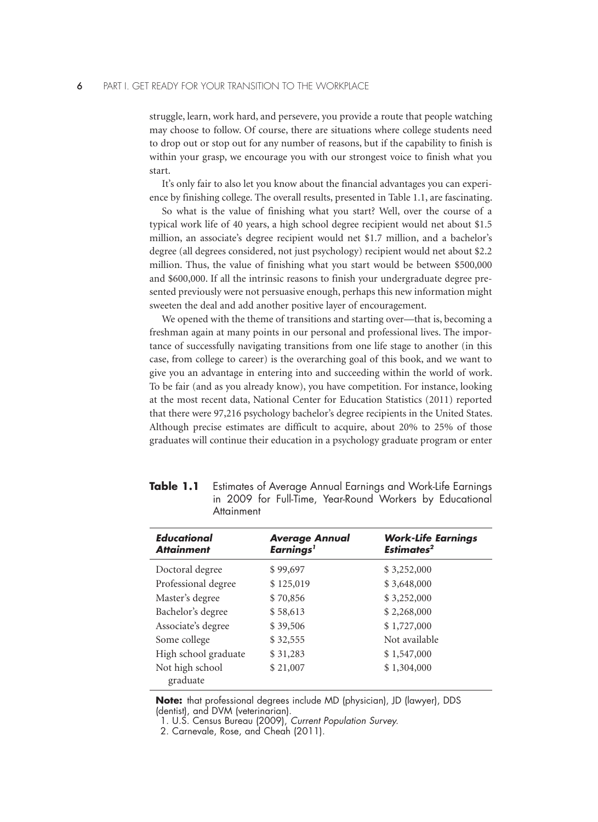struggle, learn, work hard, and persevere, you provide a route that people watching may choose to follow. Of course, there are situations where college students need to drop out or stop out for any number of reasons, but if the capability to finish is within your grasp, we encourage you with our strongest voice to finish what you start.

 It's only fair to also let you know about the financial advantages you can experience by finishing college. The overall results, presented in Table 1.1, are fascinating.

 So what is the value of finishing what you start? Well, over the course of a typical work life of 40 years, a high school degree recipient would net about \$1.5 million, an associate's degree recipient would net \$1.7 million, and a bachelor's degree (all degrees considered, not just psychology) recipient would net about \$2.2 million. Thus, the value of finishing what you start would be between \$500,000 and \$600,000. If all the intrinsic reasons to finish your undergraduate degree presented previously were not persuasive enough, perhaps this new information might sweeten the deal and add another positive layer of encouragement.

 We opened with the theme of transitions and starting over—that is, becoming a freshman again at many points in our personal and professional lives. The importance of successfully navigating transitions from one life stage to another (in this case, from college to career) is the overarching goal of this book, and we want to give you an advantage in entering into and succeeding within the world of work. To be fair (and as you already know), you have competition. For instance, looking at the most recent data, National Center for Education Statistics (2011) reported that there were 97,216 psychology bachelor's degree recipients in the United States. Although precise estimates are difficult to acquire, about 20% to 25% of those graduates will continue their education in a psychology graduate program or enter

| Educational<br><b>Attainment</b> | <b>Average Annual</b><br>Earnings <sup>1</sup> | <b>Work-Life Earnings</b><br>Estimates <sup>2</sup> |
|----------------------------------|------------------------------------------------|-----------------------------------------------------|
| Doctoral degree                  | \$99,697                                       | \$3,252,000                                         |
| Professional degree              | \$125,019                                      | \$3,648,000                                         |
| Master's degree                  | \$70,856                                       | \$3,252,000                                         |
| Bachelor's degree                | \$58,613                                       | \$2,268,000                                         |
| Associate's degree               | \$39,506                                       | \$1,727,000                                         |
| Some college                     | \$32,555                                       | Not available                                       |
| High school graduate             | \$31,283                                       | \$1,547,000                                         |
| Not high school<br>graduate      | \$21,007                                       | \$1,304,000                                         |

| <b>Table 1.1</b> Estimates of Average Annual Earnings and Work-Life Earnings |
|------------------------------------------------------------------------------|
| in 2009 for Full-Time, Year-Round Workers by Educational<br>Attainment       |
|                                                                              |

**Note:** that professional degrees include MD (physician), JD (lawyer), DDS (dentist), and DVM (veterinarian).

1. U.S. Census Bureau (2009), *Current Population Survey.*

2. Carnevale, Rose, and Cheah (2011).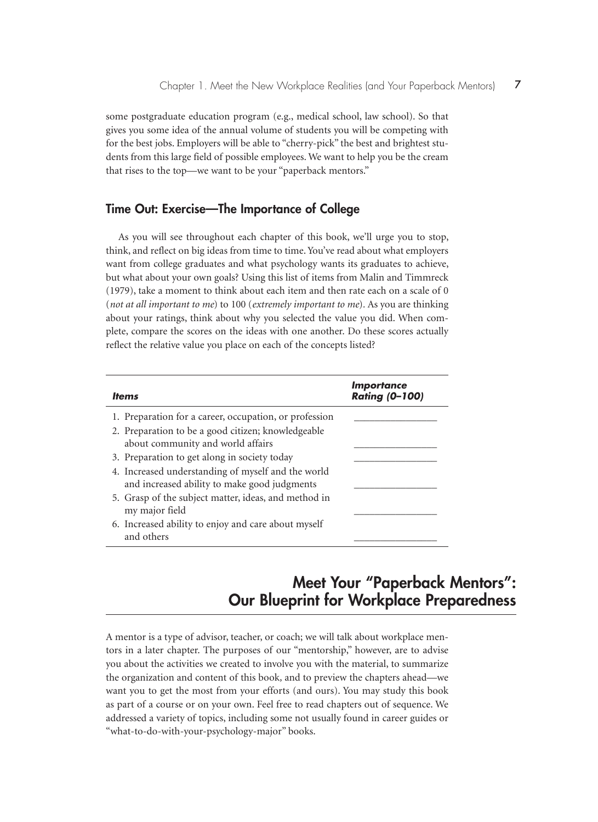some postgraduate education program (e.g., medical school, law school). So that gives you some idea of the annual volume of students you will be competing with for the best jobs. Employers will be able to "cherry-pick" the best and brightest students from this large field of possible employees. We want to help you be the cream that rises to the top—we want to be your "paperback mentors."

#### **Time Out: Exercise—The Importance of College**

 As you will see throughout each chapter of this book, we'll urge you to stop, think, and reflect on big ideas from time to time. You've read about what employers want from college graduates and what psychology wants its graduates to achieve, but what about your own goals? Using this list of items from Malin and Timmreck (1979), take a moment to think about each item and then rate each on a scale of 0 ( *not at all important to me* ) to 100 ( *extremely important to me* ) *.* As you are thinking about your ratings, think about why you selected the value you did. When complete, compare the scores on the ideas with one another. Do these scores actually reflect the relative value you place on each of the concepts listed?

| <i><u><b>Items</b></u></i>                                                                                   | <i><b>Importance</b></i><br><b>Rating (0-100)</b> |
|--------------------------------------------------------------------------------------------------------------|---------------------------------------------------|
| 1. Preparation for a career, occupation, or profession<br>2. Preparation to be a good citizen; knowledgeable |                                                   |
| about community and world affairs                                                                            |                                                   |
| 3. Preparation to get along in society today<br>4. Increased understanding of myself and the world           |                                                   |
| and increased ability to make good judgments                                                                 |                                                   |
| 5. Grasp of the subject matter, ideas, and method in<br>my major field                                       |                                                   |
| 6. Increased ability to enjoy and care about myself<br>and others                                            |                                                   |

## **Meet Your "Paperback Mentors": Our Blueprint for Workplace Preparedness**

 A mentor is a type of advisor, teacher, or coach; we will talk about workplace mentors in a later chapter. The purposes of our "mentorship," however, are to advise you about the activities we created to involve you with the material, to summarize the organization and content of this book *,* and to preview the chapters ahead—we want you to get the most from your efforts (and ours). You may study this book as part of a course or on your own. Feel free to read chapters out of sequence. We addressed a variety of topics, including some not usually found in career guides or "what-to-do-with-your-psychology-major" books.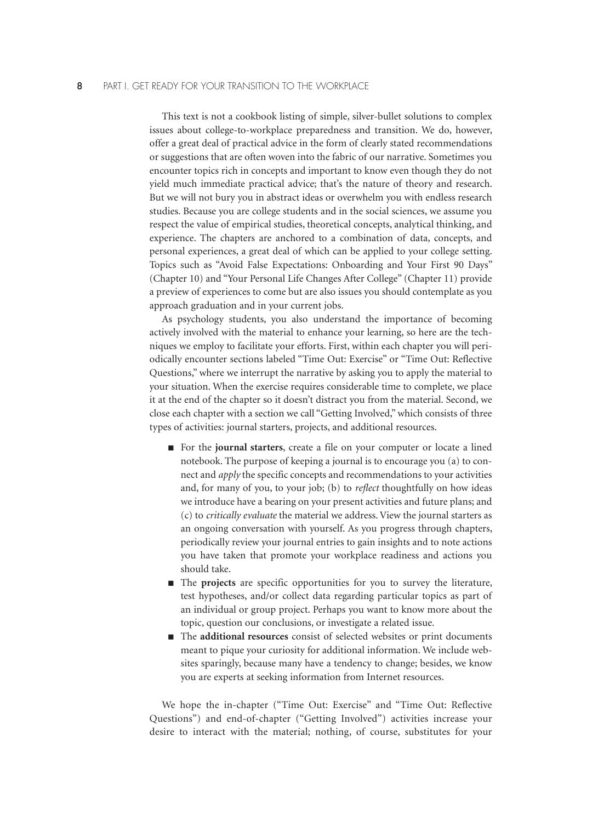This text is not a cookbook listing of simple, silver-bullet solutions to complex issues about college-to-workplace preparedness and transition. We do, however, offer a great deal of practical advice in the form of clearly stated recommendations or suggestions that are often woven into the fabric of our narrative. Sometimes you encounter topics rich in concepts and important to know even though they do not yield much immediate practical advice; that's the nature of theory and research. But we will not bury you in abstract ideas or overwhelm you with endless research studies. Because you are college students and in the social sciences, we assume you respect the value of empirical studies, theoretical concepts, analytical thinking, and experience. The chapters are anchored to a combination of data, concepts, and personal experiences, a great deal of which can be applied to your college setting. Topics such as "Avoid False Expectations: Onboarding and Your First 90 Days" (Chapter 10) and "Your Personal Life Changes After College" (Chapter 11) provide a preview of experiences to come but are also issues you should contemplate as you approach graduation and in your current jobs.

 As psychology students, you also understand the importance of becoming actively involved with the material to enhance your learning, so here are the techniques we employ to facilitate your efforts. First, within each chapter you will periodically encounter sections labeled "Time Out: Exercise" or "Time Out: Reflective Questions," where we interrupt the narrative by asking you to apply the material to your situation. When the exercise requires considerable time to complete, we place it at the end of the chapter so it doesn't distract you from the material. Second, we close each chapter with a section we call "Getting Involved," which consists of three types of activities: journal starters, projects, and additional resources.

- For the **journal starters**, create a file on your computer or locate a lined notebook. The purpose of keeping a journal is to encourage you (a) to connect and *apply* the specific concepts and recommendations to your activities and, for many of you, to your job; (b) to *reflect* thoughtfully on how ideas we introduce have a bearing on your present activities and future plans; and (c) to *critically evaluate* the material we address. View the journal starters as an ongoing conversation with yourself. As you progress through chapters, periodically review your journal entries to gain insights and to note actions you have taken that promote your workplace readiness and actions you should take.
- The **projects** are specific opportunities for you to survey the literature, test hypotheses, and/or collect data regarding particular topics as part of an individual or group project. Perhaps you want to know more about the topic, question our conclusions, or investigate a related issue.
- The **additional resources** consist of selected websites or print documents meant to pique your curiosity for additional information. We include websites sparingly, because many have a tendency to change; besides, we know you are experts at seeking information from Internet resources.

 We hope the in-chapter ("Time Out: Exercise" and "Time Out: Reflective Questions") and end-of-chapter ("Getting Involved") activities increase your desire to interact with the material; nothing, of course, substitutes for your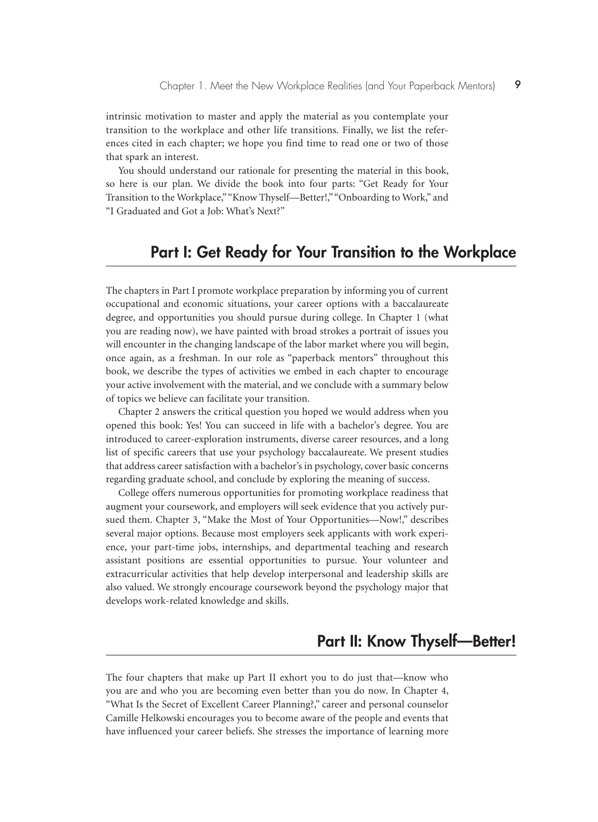intrinsic motivation to master and apply the material as you contemplate your transition to the workplace and other life transitions. Finally, we list the references cited in each chapter; we hope you find time to read one or two of those that spark an interest.

 You should understand our rationale for presenting the material in this book, so here is our plan. We divide the book into four parts: "Get Ready for Your Transition to the Workplace," "Know Thyself—Better!," "Onboarding to Work," and "I Graduated and Got a Job: What's Next?"

#### **Part I: Get Ready for Your Transition to the Workplace**

 The chapters in Part I promote workplace preparation by informing you of current occupational and economic situations, your career options with a baccalaureate degree, and opportunities you should pursue during college. In Chapter 1 (what you are reading now), we have painted with broad strokes a portrait of issues you will encounter in the changing landscape of the labor market where you will begin, once again, as a freshman. In our role as "paperback mentors" throughout this book, we describe the types of activities we embed in each chapter to encourage your active involvement with the material, and we conclude with a summary below of topics we believe can facilitate your transition.

 Chapter 2 answers the critical question you hoped we would address when you opened this book: Yes! You can succeed in life with a bachelor's degree. You are introduced to career-exploration instruments, diverse career resources, and a long list of specific careers that use your psychology baccalaureate. We present studies that address career satisfaction with a bachelor's in psychology, cover basic concerns regarding graduate school, and conclude by exploring the meaning of success.

 College offers numerous opportunities for promoting workplace readiness that augment your coursework, and employers will seek evidence that you actively pursued them. Chapter 3, "Make the Most of Your Opportunities—Now!," describes several major options. Because most employers seek applicants with work experience, your part-time jobs, internships, and departmental teaching and research assistant positions are essential opportunities to pursue. Your volunteer and extracurricular activities that help develop interpersonal and leadership skills are also valued. We strongly encourage coursework beyond the psychology major that develops work-related knowledge and skills.

### **Part II: Know Thyself—Better!**

 The four chapters that make up Part II exhort you to do just that—know who you are and who you are becoming even better than you do now. In Chapter 4, "What Is the Secret of Excellent Career Planning?," career and personal counselor Camille Helkowski encourages you to become aware of the people and events that have influenced your career beliefs. She stresses the importance of learning more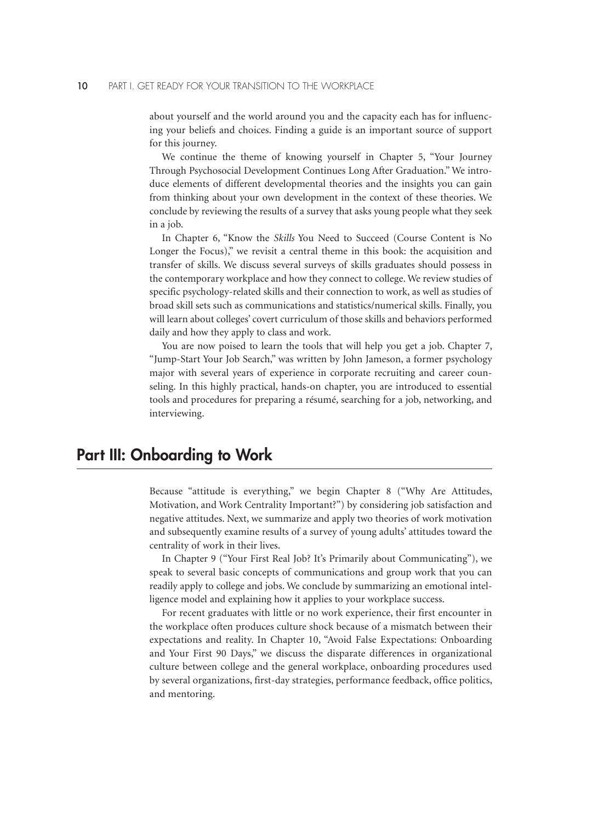about yourself and the world around you and the capacity each has for influencing your beliefs and choices. Finding a guide is an important source of support for this journey.

 We continue the theme of knowing yourself in Chapter 5, "Your Journey Through Psychosocial Development Continues Long After Graduation." We introduce elements of different developmental theories and the insights you can gain from thinking about your own development in the context of these theories. We conclude by reviewing the results of a survey that asks young people what they seek in a job.

 In Chapter 6, "Know the *Skills* You Need to Succeed (Course Content is No Longer the Focus)," we revisit a central theme in this book: the acquisition and transfer of skills. We discuss several surveys of skills graduates should possess in the contemporary workplace and how they connect to college. We review studies of specific psychology-related skills and their connection to work, as well as studies of broad skill sets such as communications and statistics/numerical skills. Finally, you will learn about colleges' covert curriculum of those skills and behaviors performed daily and how they apply to class and work.

 You are now poised to learn the tools that will help you get a job. Chapter 7, "Jump-Start Your Job Search," was written by John Jameson, a former psychology major with several years of experience in corporate recruiting and career counseling. In this highly practical, hands-on chapter, you are introduced to essential tools and procedures for preparing a résumé, searching for a job, networking, and interviewing.

## **Part III: Onboarding to Work**

 Because "attitude is everything," we begin Chapter 8 ("Why Are Attitudes, Motivation, and Work Centrality Important?") by considering job satisfaction and negative attitudes. Next, we summarize and apply two theories of work motivation and subsequently examine results of a survey of young adults' attitudes toward the centrality of work in their lives.

 In Chapter 9 ("Your First Real Job? It's Primarily about Communicating"), we speak to several basic concepts of communications and group work that you can readily apply to college and jobs. We conclude by summarizing an emotional intelligence model and explaining how it applies to your workplace success.

 For recent graduates with little or no work experience, their first encounter in the workplace often produces culture shock because of a mismatch between their expectations and reality. In Chapter 10, "Avoid False Expectations: Onboarding and Your First 90 Days," we discuss the disparate differences in organizational culture between college and the general workplace, onboarding procedures used by several organizations, first-day strategies, performance feedback, office politics, and mentoring.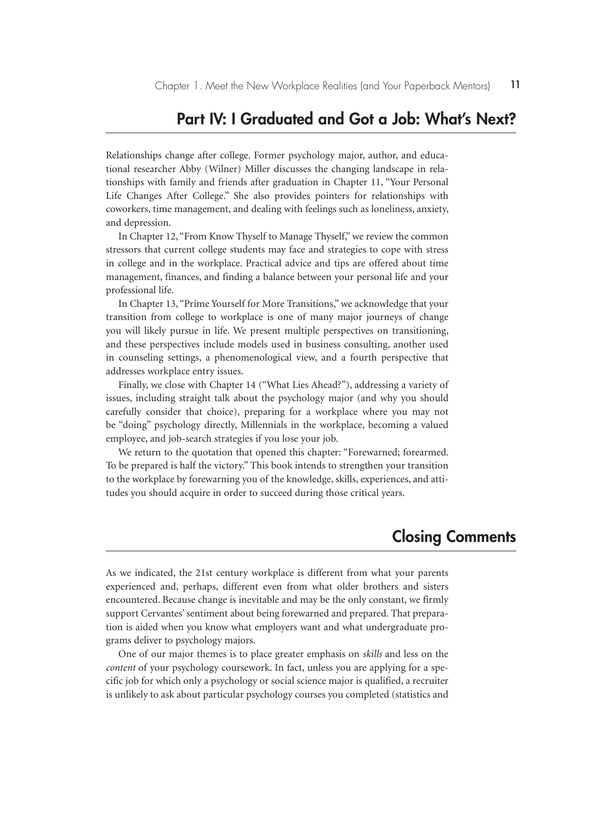#### **Part IV: I Graduated and Got a Job: What's Next?**

 Relationships change after college. Former psychology major, author, and educational researcher Abby (Wilner) Miller discusses the changing landscape in relationships with family and friends after graduation in Chapter 11, "Your Personal Life Changes After College." She also provides pointers for relationships with coworkers, time management, and dealing with feelings such as loneliness, anxiety, and depression.

 In Chapter 12, "From Know Thyself to Manage Thyself," we review the common stressors that current college students may face and strategies to cope with stress in college and in the workplace. Practical advice and tips are offered about time management, finances, and finding a balance between your personal life and your professional life.

 In Chapter 13, "Prime Yourself for More Transitions," we acknowledge that your transition from college to workplace is one of many major journeys of change you will likely pursue in life. We present multiple perspectives on transitioning, and these perspectives include models used in business consulting, another used in counseling settings, a phenomenological view, and a fourth perspective that addresses workplace entry issues.

 Finally, we close with Chapter 14 ("What Lies Ahead?"), addressing a variety of issues, including straight talk about the psychology major (and why you should carefully consider that choice), preparing for a workplace where you may not be "doing" psychology directly, Millennials in the workplace, becoming a valued employee, and job-search strategies if you lose your job.

 We return to the quotation that opened this chapter: "Forewarned; forearmed. To be prepared is half the victory." This book intends to strengthen your transition to the workplace by forewarning you of the knowledge, skills, experiences, and attitudes you should acquire in order to succeed during those critical years.

#### **Closing Comments**

 As we indicated, the 21st century workplace is different from what your parents experienced and, perhaps, different even from what older brothers and sisters encountered. Because change is inevitable and may be the only constant, we firmly support Cervantes' sentiment about being forewarned and prepared. That preparation is aided when you know what employers want and what undergraduate programs deliver to psychology majors.

 One of our major themes is to place greater emphasis on *skills* and less on the *content* of your psychology coursework. In fact, unless you are applying for a specific job for which only a psychology or social science major is qualified, a recruiter is unlikely to ask about particular psychology courses you completed (statistics and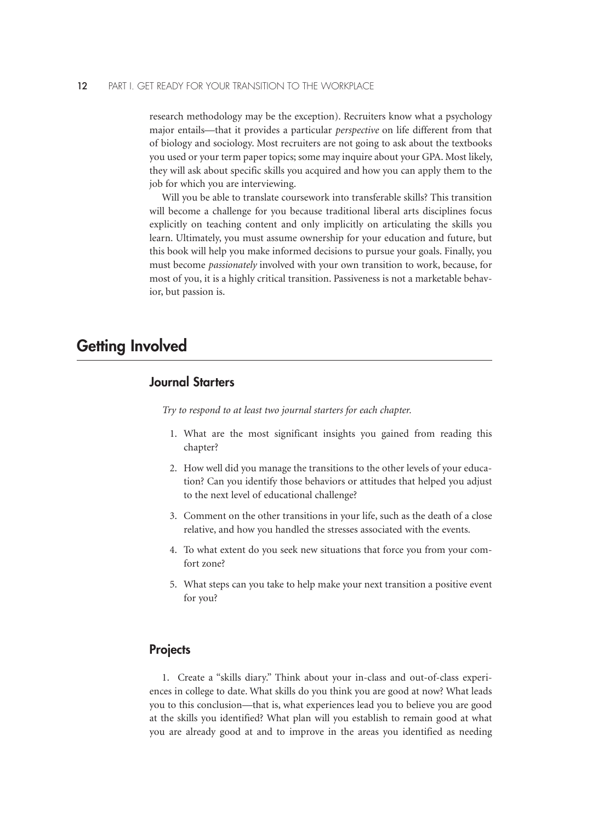research methodology may be the exception). Recruiters know what a psychology major entails—that it provides a particular *perspective* on life different from that of biology and sociology. Most recruiters are not going to ask about the textbooks you used or your term paper topics; some may inquire about your GPA. Most likely, they will ask about specific skills you acquired and how you can apply them to the job for which you are interviewing.

 Will you be able to translate coursework into transferable skills? This transition will become a challenge for you because traditional liberal arts disciplines focus explicitly on teaching content and only implicitly on articulating the skills you learn. Ultimately, you must assume ownership for your education and future, but this book will help you make informed decisions to pursue your goals. Finally, you must become *passionately* involved with your own transition to work, because, for most of you, it is a highly critical transition. Passiveness is not a marketable behavior, but passion is.

#### **Getting Involved**

#### **Journal Starters**

*Try to respond to at least two journal starters for each chapter.*

- 1. What are the most significant insights you gained from reading this chapter?
- 2. How well did you manage the transitions to the other levels of your education? Can you identify those behaviors or attitudes that helped you adjust to the next level of educational challenge?
- 3. Comment on the other transitions in your life, such as the death of a close relative, and how you handled the stresses associated with the events.
- 4. To what extent do you seek new situations that force you from your comfort zone?
- 5. What steps can you take to help make your next transition a positive event for you?

#### **Projects**

 1. Create a "skills diary." Think about your in-class and out-of-class experiences in college to date. What skills do you think you are good at now? What leads you to this conclusion—that is, what experiences lead you to believe you are good at the skills you identified? What plan will you establish to remain good at what you are already good at and to improve in the areas you identified as needing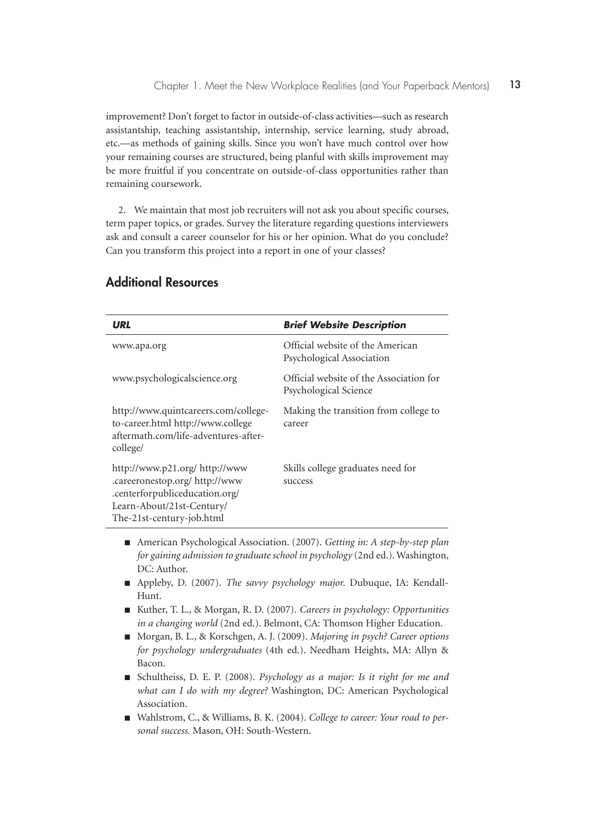improvement? Don't forget to factor in outside-of-class activities—such as research assistantship, teaching assistantship, internship, service learning, study abroad, etc.—as methods of gaining skills. Since you won't have much control over how your remaining courses are structured, being planful with skills improvement may be more fruitful if you concentrate on outside-of-class opportunities rather than remaining coursework.

 2. We maintain that most job recruiters will not ask you about specific courses, term paper topics, or grades. Survey the literature regarding questions interviewers ask and consult a career counselor for his or her opinion. What do you conclude? Can you transform this project into a report in one of your classes?

| URL                                                                                                                                                          | <b>Brief Website Description</b>                                 |
|--------------------------------------------------------------------------------------------------------------------------------------------------------------|------------------------------------------------------------------|
| www.apa.org                                                                                                                                                  | Official website of the American<br>Psychological Association    |
| www.psychologicalscience.org                                                                                                                                 | Official website of the Association for<br>Psychological Science |
| http://www.quintcareers.com/college-<br>to-career.html http://www.college<br>aftermath.com/life-adventures-after-<br>college/                                | Making the transition from college to<br>career                  |
| http://www.p21.org/ http://www<br>.careeronestop.org/ http://www<br>.centerforpubliceducation.org/<br>Learn-About/21st-Century/<br>The-21st-century-job.html | Skills college graduates need for<br>success                     |

#### **Additional Resources**

- American Psychological Association. (2007). *Getting in: A step-by-step plan for gaining admission to graduate school in psychology* (2nd ed.). Washington, DC: Author.
- Appleby, D. (2007). *The savvy psychology major*. Dubuque, IA: Kendall-Hunt.
- Kuther, T. L., & Morgan, R. D. (2007). *Careers in psychology: Opportunities in a changing world* (2nd ed.). Belmont, CA: Thomson Higher Education.
- Morgan, B. L., & Korschgen, A. J. (2009). *Majoring in psych? Career options for psychology undergraduates* (4th ed.). Needham Heights, MA: Allyn & Bacon.
- Schultheiss, D. E. P. (2008). *Psychology as a major: Is it right for me and what can I do with my degree?* Washington, DC: American Psychological Association.
- Wahlstrom, C., & Williams, B. K. (2004). *College to career: Your road to personal success.* Mason, OH: South-Western.